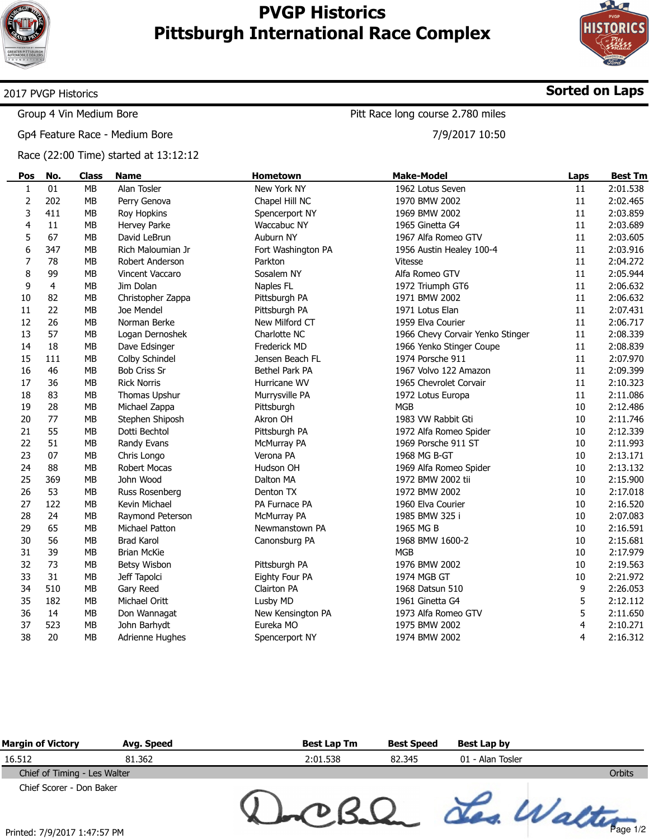

## **PVGP Historics Pittsburgh International Race Complex**



**Sorted on Laps**

Page 1/2

#### 2017 PVGP Historics

Group 4 Vin Medium Bore

Gp4 Feature Race - Medium Bore

Race (22:00 Time) started at 13:12:12

Pitt Race long course 2.780 miles

7/9/2017 10:50

| Pos            | No.            | <b>Class</b> | <b>Name</b>         | Hometown           | <b>Make-Model</b>                | Laps   | <b>Best Tm</b> |
|----------------|----------------|--------------|---------------------|--------------------|----------------------------------|--------|----------------|
| $\mathbf{1}$   | 01             | <b>MB</b>    | Alan Tosler         | New York NY        | 1962 Lotus Seven                 | 11     | 2:01.538       |
| $\mathbf 2$    | 202            | MB           | Perry Genova        | Chapel Hill NC     | 1970 BMW 2002                    | 11     | 2:02.465       |
| 3              | 411            | MB           | Roy Hopkins         | Spencerport NY     | 1969 BMW 2002                    | 11     | 2:03.859       |
| $\overline{4}$ | 11             | <b>MB</b>    | Hervey Parke        | Waccabuc NY        | 1965 Ginetta G4                  | 11     | 2:03.689       |
| 5              | 67             | <b>MB</b>    | David LeBrun        | Auburn NY          | 1967 Alfa Romeo GTV              | 11     | 2:03.605       |
| 6              | 347            | <b>MB</b>    | Rich Maloumian Jr   | Fort Washington PA | 1956 Austin Healey 100-4         | 11     | 2:03.916       |
| 7              | 78             | <b>MB</b>    | Robert Anderson     | Parkton            | <b>Vitesse</b>                   | 11     | 2:04.272       |
| 8              | 99             | <b>MB</b>    | Vincent Vaccaro     | Sosalem NY         | Alfa Romeo GTV                   | 11     | 2:05.944       |
| 9              | $\overline{4}$ | <b>MB</b>    | Jim Dolan           | Naples FL          | 1972 Triumph GT6                 | 11     | 2:06.632       |
| 10             | 82             | <b>MB</b>    | Christopher Zappa   | Pittsburgh PA      | 1971 BMW 2002                    | 11     | 2:06.632       |
| 11             | 22             | MB           | Joe Mendel          | Pittsburgh PA      | 1971 Lotus Elan                  | 11     | 2:07.431       |
| 12             | 26             | MB           | Norman Berke        | New Milford CT     | 1959 Elva Courier                | 11     | 2:06.717       |
| 13             | 57             | <b>MB</b>    | Logan Dernoshek     | Charlotte NC       | 1966 Chevy Corvair Yenko Stinger | 11     | 2:08.339       |
| 14             | 18             | <b>MB</b>    | Dave Edsinger       | Frederick MD       | 1966 Yenko Stinger Coupe         | 11     | 2:08.839       |
| 15             | 111            | <b>MB</b>    | Colby Schindel      | Jensen Beach FL    | 1974 Porsche 911                 | 11     | 2:07.970       |
| 16             | 46             | <b>MB</b>    | <b>Bob Criss Sr</b> | Bethel Park PA     | 1967 Volvo 122 Amazon            | 11     | 2:09.399       |
| 17             | 36             | MB           | <b>Rick Norris</b>  | Hurricane WV       | 1965 Chevrolet Corvair           | 11     | 2:10.323       |
| 18             | 83             | <b>MB</b>    | Thomas Upshur       | Murrysville PA     | 1972 Lotus Europa                | 11     | 2:11.086       |
| 19             | 28             | <b>MB</b>    | Michael Zappa       | Pittsburgh         | <b>MGB</b>                       | 10     | 2:12.486       |
| 20             | 77             | <b>MB</b>    | Stephen Shiposh     | Akron OH           | 1983 VW Rabbit Gti               | 10     | 2:11.746       |
| 21             | 55             | <b>MB</b>    | Dotti Bechtol       | Pittsburgh PA      | 1972 Alfa Romeo Spider           | 10     | 2:12.339       |
| 22             | 51             | <b>MB</b>    | Randy Evans         | McMurray PA        | 1969 Porsche 911 ST              | 10     | 2:11.993       |
| 23             | 07             | <b>MB</b>    | Chris Longo         | Verona PA          | 1968 MG B-GT                     | 10     | 2:13.171       |
| 24             | 88             | MB           | Robert Mocas        | Hudson OH          | 1969 Alfa Romeo Spider           | 10     | 2:13.132       |
| 25             | 369            | <b>MB</b>    | John Wood           | Dalton MA          | 1972 BMW 2002 tii                | 10     | 2:15.900       |
| 26             | 53             | <b>MB</b>    | Russ Rosenberg      | Denton TX          | 1972 BMW 2002                    | 10     | 2:17.018       |
| 27             | 122            | <b>MB</b>    | Kevin Michael       | PA Furnace PA      | 1960 Elva Courier                | 10     | 2:16.520       |
| 28             | 24             | <b>MB</b>    | Raymond Peterson    | McMurray PA        | 1985 BMW 325 i                   | 10     | 2:07.083       |
| 29             | 65             | <b>MB</b>    | Michael Patton      | Newmanstown PA     | 1965 MG B                        | $10\,$ | 2:16.591       |
| 30             | 56             | <b>MB</b>    | <b>Brad Karol</b>   | Canonsburg PA      | 1968 BMW 1600-2                  | 10     | 2:15.681       |
| 31             | 39             | <b>MB</b>    | <b>Brian McKie</b>  |                    | <b>MGB</b>                       | 10     | 2:17.979       |
| 32             | 73             | <b>MB</b>    | Betsy Wisbon        | Pittsburgh PA      | 1976 BMW 2002                    | 10     | 2:19.563       |
| 33             | 31             | MB           | Jeff Tapolci        | Eighty Four PA     | 1974 MGB GT                      | 10     | 2:21.972       |
| 34             | 510            | <b>MB</b>    | Gary Reed           | Clairton PA        | 1968 Datsun 510                  | 9      | 2:26.053       |
| 35             | 182            | <b>MB</b>    | Michael Oritt       | Lusby MD           | 1961 Ginetta G4                  | 5      | 2:12.112       |
| 36             | 14             | <b>MB</b>    | Don Wannagat        | New Kensington PA  | 1973 Alfa Romeo GTV              | 5      | 2:11.650       |
| 37             | 523            | <b>MB</b>    | John Barhydt        | Eureka MO          | 1975 BMW 2002                    | 4      | 2:10.271       |
| 38             | 20             | <b>MB</b>    | Adrienne Hughes     | Spencerport NY     | 1974 BMW 2002                    | 4      | 2:16.312       |

| <b>Margin of Victory</b>     | Avg. Speed | <b>Best Lap Tm</b> | <b>Best Speed</b> | Best Lap by      |        |
|------------------------------|------------|--------------------|-------------------|------------------|--------|
| 16.512                       | 81.362     | 2:01.538           | 82.345            | 01 - Alan Tosler |        |
| Chief of Timing - Les Walter |            |                    |                   |                  | Orbits |
| Chief Scorer - Don Baker     |            |                    |                   |                  |        |